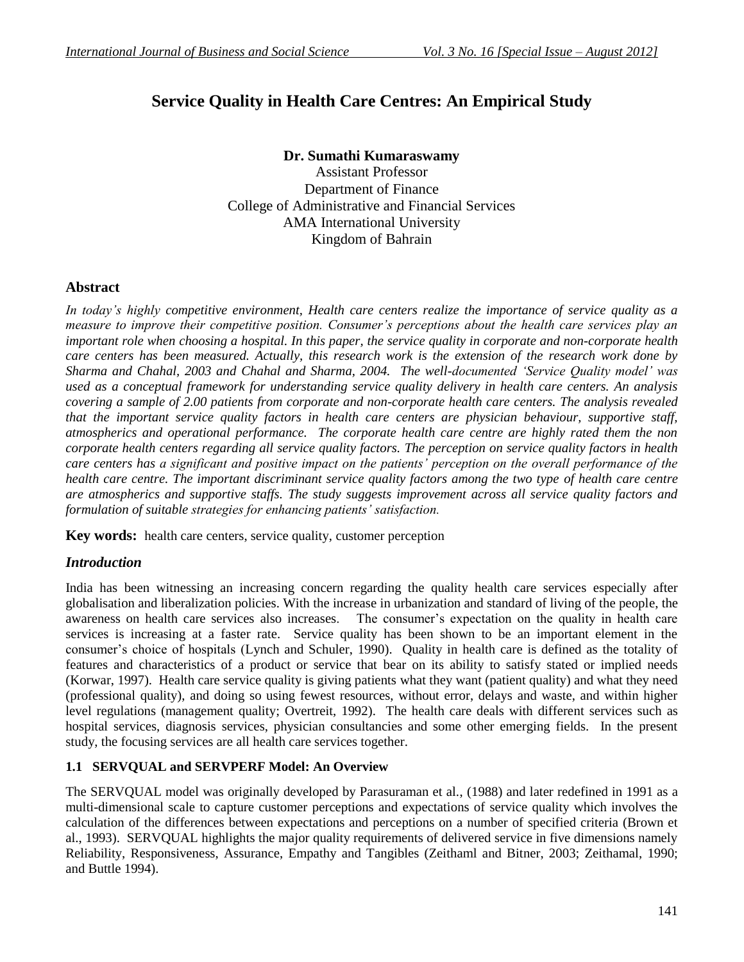# **Service Quality in Health Care Centres: An Empirical Study**

# **Dr. Sumathi Kumaraswamy**

Assistant Professor Department of Finance College of Administrative and Financial Services AMA International University Kingdom of Bahrain

## **Abstract**

*In today's highly competitive environment, Health care centers realize the importance of service quality as a measure to improve their competitive position. Consumer's perceptions about the health care services play an important role when choosing a hospital. In this paper, the service quality in corporate and non-corporate health care centers has been measured. Actually, this research work is the extension of the research work done by Sharma and Chahal, 2003 and Chahal and Sharma, 2004. The well-documented 'Service Quality model' was used as a conceptual framework for understanding service quality delivery in health care centers. An analysis covering a sample of 2.00 patients from corporate and non-corporate health care centers. The analysis revealed that the important service quality factors in health care centers are physician behaviour, supportive staff, atmospherics and operational performance. The corporate health care centre are highly rated them the non corporate health centers regarding all service quality factors. The perception on service quality factors in health care centers has a significant and positive impact on the patients' perception on the overall performance of the health care centre. The important discriminant service quality factors among the two type of health care centre are atmospherics and supportive staffs. The study suggests improvement across all service quality factors and formulation of suitable strategies for enhancing patients' satisfaction.* 

**Key words:** health care centers, service quality, customer perception

## *Introduction*

India has been witnessing an increasing concern regarding the quality health care services especially after globalisation and liberalization policies. With the increase in urbanization and standard of living of the people, the awareness on health care services also increases. The consumer's expectation on the quality in health care services is increasing at a faster rate. Service quality has been shown to be an important element in the consumer's choice of hospitals (Lynch and Schuler, 1990). Quality in health care is defined as the totality of features and characteristics of a product or service that bear on its ability to satisfy stated or implied needs (Korwar, 1997). Health care service quality is giving patients what they want (patient quality) and what they need (professional quality), and doing so using fewest resources, without error, delays and waste, and within higher level regulations (management quality; Overtreit, 1992). The health care deals with different services such as hospital services, diagnosis services, physician consultancies and some other emerging fields. In the present study, the focusing services are all health care services together.

#### **1.1 SERVQUAL and SERVPERF Model: An Overview**

The SERVQUAL model was originally developed by Parasuraman et al., (1988) and later redefined in 1991 as a multi-dimensional scale to capture customer perceptions and expectations of service quality which involves the calculation of the differences between expectations and perceptions on a number of specified criteria (Brown et al., 1993). SERVQUAL highlights the major quality requirements of delivered service in five dimensions namely Reliability, Responsiveness, Assurance, Empathy and Tangibles (Zeithaml and Bitner, 2003; Zeithamal, 1990; and Buttle 1994).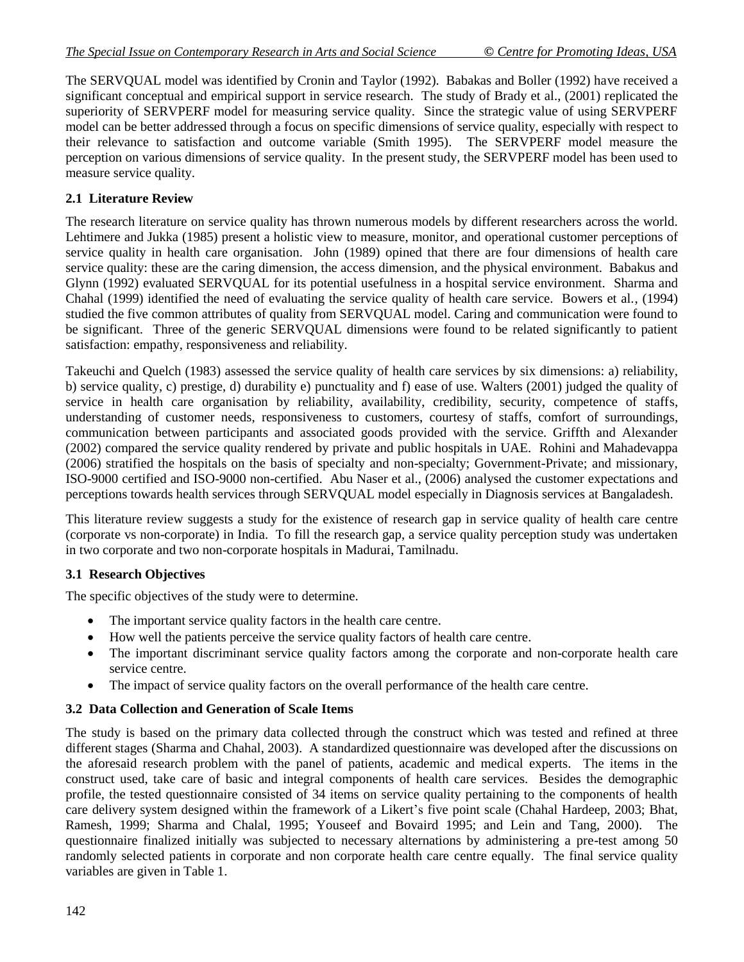The SERVQUAL model was identified by Cronin and Taylor (1992). Babakas and Boller (1992) have received a significant conceptual and empirical support in service research. The study of Brady et al., (2001) replicated the superiority of SERVPERF model for measuring service quality. Since the strategic value of using SERVPERF model can be better addressed through a focus on specific dimensions of service quality, especially with respect to their relevance to satisfaction and outcome variable (Smith 1995). The SERVPERF model measure the perception on various dimensions of service quality. In the present study, the SERVPERF model has been used to measure service quality.

#### **2.1 Literature Review**

The research literature on service quality has thrown numerous models by different researchers across the world. Lehtimere and Jukka (1985) present a holistic view to measure, monitor, and operational customer perceptions of service quality in health care organisation. John (1989) opined that there are four dimensions of health care service quality: these are the caring dimension, the access dimension, and the physical environment. Babakus and Glynn (1992) evaluated SERVQUAL for its potential usefulness in a hospital service environment. Sharma and Chahal (1999) identified the need of evaluating the service quality of health care service. Bowers et al., (1994) studied the five common attributes of quality from SERVQUAL model. Caring and communication were found to be significant. Three of the generic SERVOUAL dimensions were found to be related significantly to patient satisfaction: empathy, responsiveness and reliability.

Takeuchi and Quelch (1983) assessed the service quality of health care services by six dimensions: a) reliability, b) service quality, c) prestige, d) durability e) punctuality and f) ease of use. Walters (2001) judged the quality of service in health care organisation by reliability, availability, credibility, security, competence of staffs, understanding of customer needs, responsiveness to customers, courtesy of staffs, comfort of surroundings, communication between participants and associated goods provided with the service. Griffth and Alexander (2002) compared the service quality rendered by private and public hospitals in UAE. Rohini and Mahadevappa (2006) stratified the hospitals on the basis of specialty and non-specialty; Government-Private; and missionary, ISO-9000 certified and ISO-9000 non-certified. Abu Naser et al., (2006) analysed the customer expectations and perceptions towards health services through SERVQUAL model especially in Diagnosis services at Bangaladesh.

This literature review suggests a study for the existence of research gap in service quality of health care centre (corporate vs non-corporate) in India. To fill the research gap, a service quality perception study was undertaken in two corporate and two non-corporate hospitals in Madurai, Tamilnadu.

#### **3.1 Research Objectives**

The specific objectives of the study were to determine.

- The important service quality factors in the health care centre.
- How well the patients perceive the service quality factors of health care centre.
- The important discriminant service quality factors among the corporate and non-corporate health care service centre.
- The impact of service quality factors on the overall performance of the health care centre.

#### **3.2 Data Collection and Generation of Scale Items**

The study is based on the primary data collected through the construct which was tested and refined at three different stages (Sharma and Chahal, 2003). A standardized questionnaire was developed after the discussions on the aforesaid research problem with the panel of patients, academic and medical experts. The items in the construct used, take care of basic and integral components of health care services. Besides the demographic profile, the tested questionnaire consisted of 34 items on service quality pertaining to the components of health care delivery system designed within the framework of a Likert's five point scale (Chahal Hardeep, 2003; Bhat, Ramesh, 1999; Sharma and Chalal, 1995; Youseef and Bovaird 1995; and Lein and Tang, 2000). The questionnaire finalized initially was subjected to necessary alternations by administering a pre-test among 50 randomly selected patients in corporate and non corporate health care centre equally. The final service quality variables are given in Table 1.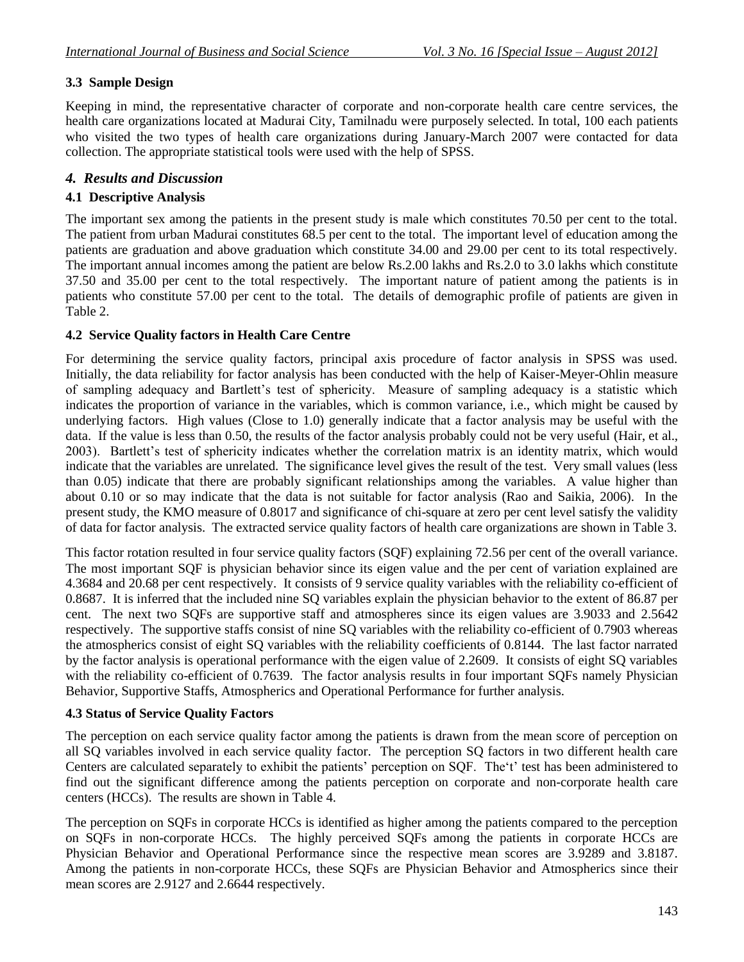#### **3.3 Sample Design**

Keeping in mind, the representative character of corporate and non-corporate health care centre services, the health care organizations located at Madurai City, Tamilnadu were purposely selected. In total, 100 each patients who visited the two types of health care organizations during January-March 2007 were contacted for data collection. The appropriate statistical tools were used with the help of SPSS.

## *4. Results and Discussion*

#### **4.1 Descriptive Analysis**

The important sex among the patients in the present study is male which constitutes 70.50 per cent to the total. The patient from urban Madurai constitutes 68.5 per cent to the total. The important level of education among the patients are graduation and above graduation which constitute 34.00 and 29.00 per cent to its total respectively. The important annual incomes among the patient are below Rs.2.00 lakhs and Rs.2.0 to 3.0 lakhs which constitute 37.50 and 35.00 per cent to the total respectively. The important nature of patient among the patients is in patients who constitute 57.00 per cent to the total. The details of demographic profile of patients are given in Table 2.

#### **4.2 Service Quality factors in Health Care Centre**

For determining the service quality factors, principal axis procedure of factor analysis in SPSS was used. Initially, the data reliability for factor analysis has been conducted with the help of Kaiser-Meyer-Ohlin measure of sampling adequacy and Bartlett's test of sphericity. Measure of sampling adequacy is a statistic which indicates the proportion of variance in the variables, which is common variance, i.e., which might be caused by underlying factors. High values (Close to 1.0) generally indicate that a factor analysis may be useful with the data. If the value is less than 0.50, the results of the factor analysis probably could not be very useful (Hair, et al., 2003). Bartlett's test of sphericity indicates whether the correlation matrix is an identity matrix, which would indicate that the variables are unrelated. The significance level gives the result of the test. Very small values (less than 0.05) indicate that there are probably significant relationships among the variables. A value higher than about 0.10 or so may indicate that the data is not suitable for factor analysis (Rao and Saikia, 2006). In the present study, the KMO measure of 0.8017 and significance of chi-square at zero per cent level satisfy the validity of data for factor analysis. The extracted service quality factors of health care organizations are shown in Table 3.

This factor rotation resulted in four service quality factors (SQF) explaining 72.56 per cent of the overall variance. The most important SQF is physician behavior since its eigen value and the per cent of variation explained are 4.3684 and 20.68 per cent respectively. It consists of 9 service quality variables with the reliability co-efficient of 0.8687. It is inferred that the included nine SQ variables explain the physician behavior to the extent of 86.87 per cent. The next two SQFs are supportive staff and atmospheres since its eigen values are 3.9033 and 2.5642 respectively. The supportive staffs consist of nine SQ variables with the reliability co-efficient of 0.7903 whereas the atmospherics consist of eight SQ variables with the reliability coefficients of 0.8144. The last factor narrated by the factor analysis is operational performance with the eigen value of 2.2609. It consists of eight SQ variables with the reliability co-efficient of 0.7639. The factor analysis results in four important SQFs namely Physician Behavior, Supportive Staffs, Atmospherics and Operational Performance for further analysis.

#### **4.3 Status of Service Quality Factors**

The perception on each service quality factor among the patients is drawn from the mean score of perception on all SQ variables involved in each service quality factor. The perception SQ factors in two different health care Centers are calculated separately to exhibit the patients' perception on SQF. The't' test has been administered to find out the significant difference among the patients perception on corporate and non-corporate health care centers (HCCs). The results are shown in Table 4.

The perception on SQFs in corporate HCCs is identified as higher among the patients compared to the perception on SQFs in non-corporate HCCs. The highly perceived SQFs among the patients in corporate HCCs are Physician Behavior and Operational Performance since the respective mean scores are 3.9289 and 3.8187. Among the patients in non-corporate HCCs, these SQFs are Physician Behavior and Atmospherics since their mean scores are 2.9127 and 2.6644 respectively.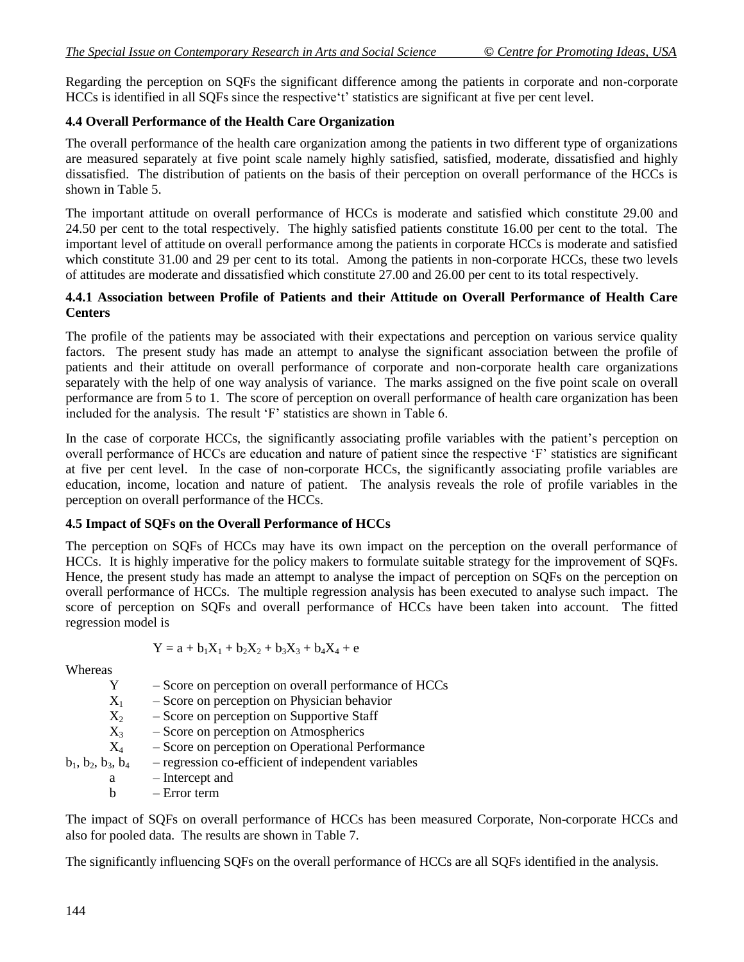Regarding the perception on SQFs the significant difference among the patients in corporate and non-corporate HCCs is identified in all SQFs since the respective't' statistics are significant at five per cent level.

### **4.4 Overall Performance of the Health Care Organization**

The overall performance of the health care organization among the patients in two different type of organizations are measured separately at five point scale namely highly satisfied, satisfied, moderate, dissatisfied and highly dissatisfied. The distribution of patients on the basis of their perception on overall performance of the HCCs is shown in Table 5.

The important attitude on overall performance of HCCs is moderate and satisfied which constitute 29.00 and 24.50 per cent to the total respectively. The highly satisfied patients constitute 16.00 per cent to the total. The important level of attitude on overall performance among the patients in corporate HCCs is moderate and satisfied which constitute 31.00 and 29 per cent to its total. Among the patients in non-corporate HCCs, these two levels of attitudes are moderate and dissatisfied which constitute 27.00 and 26.00 per cent to its total respectively.

#### **4.4.1 Association between Profile of Patients and their Attitude on Overall Performance of Health Care Centers**

The profile of the patients may be associated with their expectations and perception on various service quality factors. The present study has made an attempt to analyse the significant association between the profile of patients and their attitude on overall performance of corporate and non-corporate health care organizations separately with the help of one way analysis of variance. The marks assigned on the five point scale on overall performance are from 5 to 1. The score of perception on overall performance of health care organization has been included for the analysis. The result 'F' statistics are shown in Table 6.

In the case of corporate HCCs, the significantly associating profile variables with the patient's perception on overall performance of HCCs are education and nature of patient since the respective 'F' statistics are significant at five per cent level. In the case of non-corporate HCCs, the significantly associating profile variables are education, income, location and nature of patient. The analysis reveals the role of profile variables in the perception on overall performance of the HCCs.

#### **4.5 Impact of SQFs on the Overall Performance of HCCs**

The perception on SQFs of HCCs may have its own impact on the perception on the overall performance of HCCs. It is highly imperative for the policy makers to formulate suitable strategy for the improvement of SQFs. Hence, the present study has made an attempt to analyse the impact of perception on SQFs on the perception on overall performance of HCCs. The multiple regression analysis has been executed to analyse such impact. The score of perception on SQFs and overall performance of HCCs have been taken into account. The fitted regression model is

$$
Y = a + b_1 X_1 + b_2 X_2 + b_3 X_3 + b_4 X_4 + e
$$

**Whereas** 

| - Score on perception on overall performance of HCCs |
|------------------------------------------------------|
| - Score on perception on Physician behavior          |
| - Score on perception on Supportive Staff            |
| - Score on perception on Atmospherics                |
| - Score on perception on Operational Performance     |
| - regression co-efficient of independent variables   |
| - Intercept and                                      |
| $-$ Error term                                       |
|                                                      |

The impact of SQFs on overall performance of HCCs has been measured Corporate, Non-corporate HCCs and also for pooled data. The results are shown in Table 7.

The significantly influencing SQFs on the overall performance of HCCs are all SQFs identified in the analysis.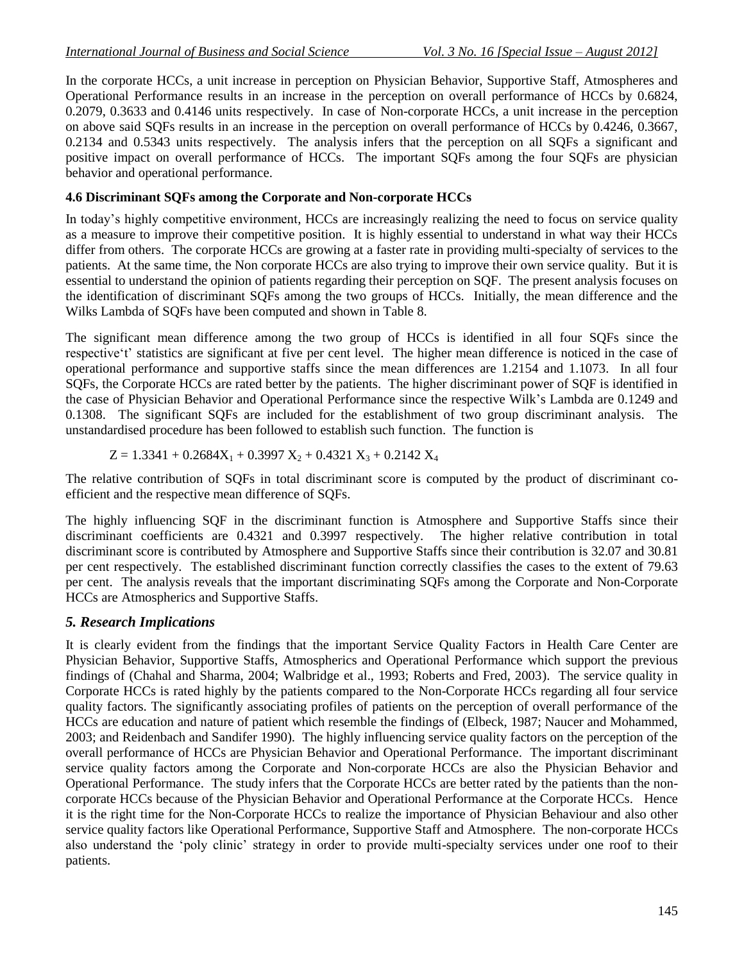In the corporate HCCs, a unit increase in perception on Physician Behavior, Supportive Staff, Atmospheres and Operational Performance results in an increase in the perception on overall performance of HCCs by 0.6824, 0.2079, 0.3633 and 0.4146 units respectively. In case of Non-corporate HCCs, a unit increase in the perception on above said SQFs results in an increase in the perception on overall performance of HCCs by 0.4246, 0.3667, 0.2134 and 0.5343 units respectively. The analysis infers that the perception on all SQFs a significant and positive impact on overall performance of HCCs. The important SQFs among the four SQFs are physician behavior and operational performance.

#### **4.6 Discriminant SQFs among the Corporate and Non-corporate HCCs**

In today's highly competitive environment, HCCs are increasingly realizing the need to focus on service quality as a measure to improve their competitive position. It is highly essential to understand in what way their HCCs differ from others. The corporate HCCs are growing at a faster rate in providing multi-specialty of services to the patients. At the same time, the Non corporate HCCs are also trying to improve their own service quality. But it is essential to understand the opinion of patients regarding their perception on SQF. The present analysis focuses on the identification of discriminant SQFs among the two groups of HCCs. Initially, the mean difference and the Wilks Lambda of SQFs have been computed and shown in Table 8.

The significant mean difference among the two group of HCCs is identified in all four SQFs since the respective't' statistics are significant at five per cent level. The higher mean difference is noticed in the case of operational performance and supportive staffs since the mean differences are 1.2154 and 1.1073. In all four SQFs, the Corporate HCCs are rated better by the patients. The higher discriminant power of SQF is identified in the case of Physician Behavior and Operational Performance since the respective Wilk's Lambda are 0.1249 and 0.1308. The significant SQFs are included for the establishment of two group discriminant analysis. The unstandardised procedure has been followed to establish such function. The function is

$$
Z=1.3341+0.2684X_1+0.3997\;X_2+0.4321\;X_3+0.2142\;X_4
$$

The relative contribution of SQFs in total discriminant score is computed by the product of discriminant coefficient and the respective mean difference of SQFs.

The highly influencing SQF in the discriminant function is Atmosphere and Supportive Staffs since their discriminant coefficients are 0.4321 and 0.3997 respectively. The higher relative contribution in total discriminant score is contributed by Atmosphere and Supportive Staffs since their contribution is 32.07 and 30.81 per cent respectively. The established discriminant function correctly classifies the cases to the extent of 79.63 per cent. The analysis reveals that the important discriminating SQFs among the Corporate and Non-Corporate HCCs are Atmospherics and Supportive Staffs.

#### *5. Research Implications*

It is clearly evident from the findings that the important Service Quality Factors in Health Care Center are Physician Behavior, Supportive Staffs, Atmospherics and Operational Performance which support the previous findings of (Chahal and Sharma, 2004; Walbridge et al., 1993; Roberts and Fred, 2003). The service quality in Corporate HCCs is rated highly by the patients compared to the Non-Corporate HCCs regarding all four service quality factors. The significantly associating profiles of patients on the perception of overall performance of the HCCs are education and nature of patient which resemble the findings of (Elbeck, 1987; Naucer and Mohammed, 2003; and Reidenbach and Sandifer 1990). The highly influencing service quality factors on the perception of the overall performance of HCCs are Physician Behavior and Operational Performance. The important discriminant service quality factors among the Corporate and Non-corporate HCCs are also the Physician Behavior and Operational Performance. The study infers that the Corporate HCCs are better rated by the patients than the noncorporate HCCs because of the Physician Behavior and Operational Performance at the Corporate HCCs. Hence it is the right time for the Non-Corporate HCCs to realize the importance of Physician Behaviour and also other service quality factors like Operational Performance, Supportive Staff and Atmosphere. The non-corporate HCCs also understand the 'poly clinic' strategy in order to provide multi-specialty services under one roof to their patients.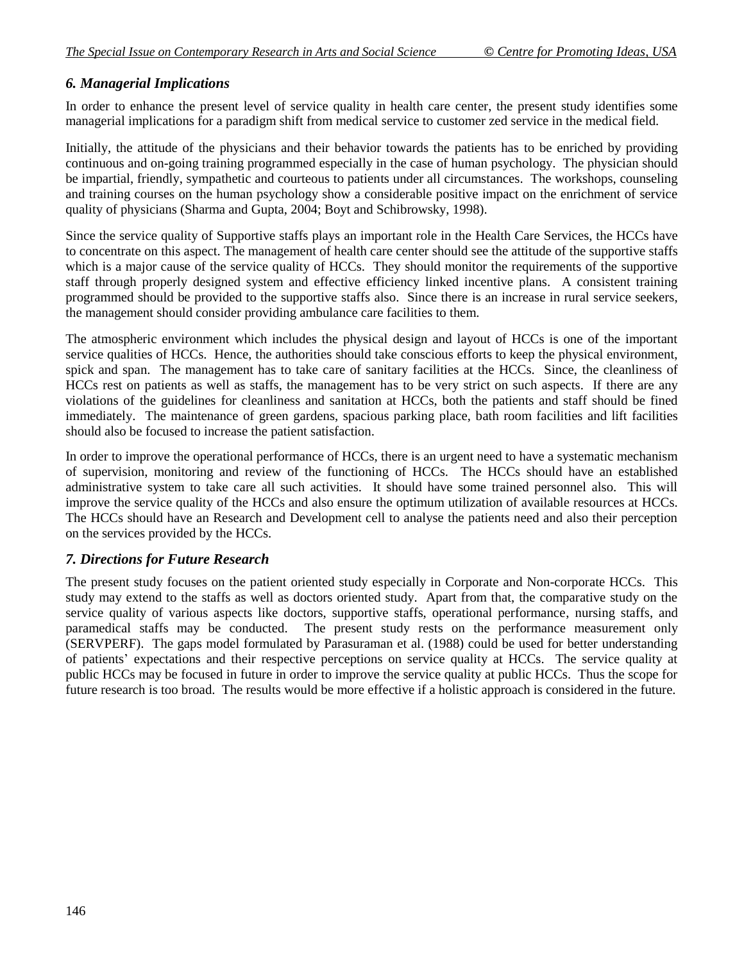## *6. Managerial Implications*

In order to enhance the present level of service quality in health care center, the present study identifies some managerial implications for a paradigm shift from medical service to customer zed service in the medical field.

Initially, the attitude of the physicians and their behavior towards the patients has to be enriched by providing continuous and on-going training programmed especially in the case of human psychology. The physician should be impartial, friendly, sympathetic and courteous to patients under all circumstances. The workshops, counseling and training courses on the human psychology show a considerable positive impact on the enrichment of service quality of physicians (Sharma and Gupta, 2004; Boyt and Schibrowsky, 1998).

Since the service quality of Supportive staffs plays an important role in the Health Care Services, the HCCs have to concentrate on this aspect. The management of health care center should see the attitude of the supportive staffs which is a major cause of the service quality of HCCs. They should monitor the requirements of the supportive staff through properly designed system and effective efficiency linked incentive plans. A consistent training programmed should be provided to the supportive staffs also. Since there is an increase in rural service seekers, the management should consider providing ambulance care facilities to them.

The atmospheric environment which includes the physical design and layout of HCCs is one of the important service qualities of HCCs. Hence, the authorities should take conscious efforts to keep the physical environment, spick and span. The management has to take care of sanitary facilities at the HCCs. Since, the cleanliness of HCCs rest on patients as well as staffs, the management has to be very strict on such aspects. If there are any violations of the guidelines for cleanliness and sanitation at HCCs, both the patients and staff should be fined immediately. The maintenance of green gardens, spacious parking place, bath room facilities and lift facilities should also be focused to increase the patient satisfaction.

In order to improve the operational performance of HCCs, there is an urgent need to have a systematic mechanism of supervision, monitoring and review of the functioning of HCCs. The HCCs should have an established administrative system to take care all such activities. It should have some trained personnel also. This will improve the service quality of the HCCs and also ensure the optimum utilization of available resources at HCCs. The HCCs should have an Research and Development cell to analyse the patients need and also their perception on the services provided by the HCCs.

#### *7. Directions for Future Research*

The present study focuses on the patient oriented study especially in Corporate and Non-corporate HCCs. This study may extend to the staffs as well as doctors oriented study. Apart from that, the comparative study on the service quality of various aspects like doctors, supportive staffs, operational performance, nursing staffs, and paramedical staffs may be conducted. The present study rests on the performance measurement only (SERVPERF). The gaps model formulated by Parasuraman et al. (1988) could be used for better understanding of patients' expectations and their respective perceptions on service quality at HCCs. The service quality at public HCCs may be focused in future in order to improve the service quality at public HCCs. Thus the scope for future research is too broad. The results would be more effective if a holistic approach is considered in the future.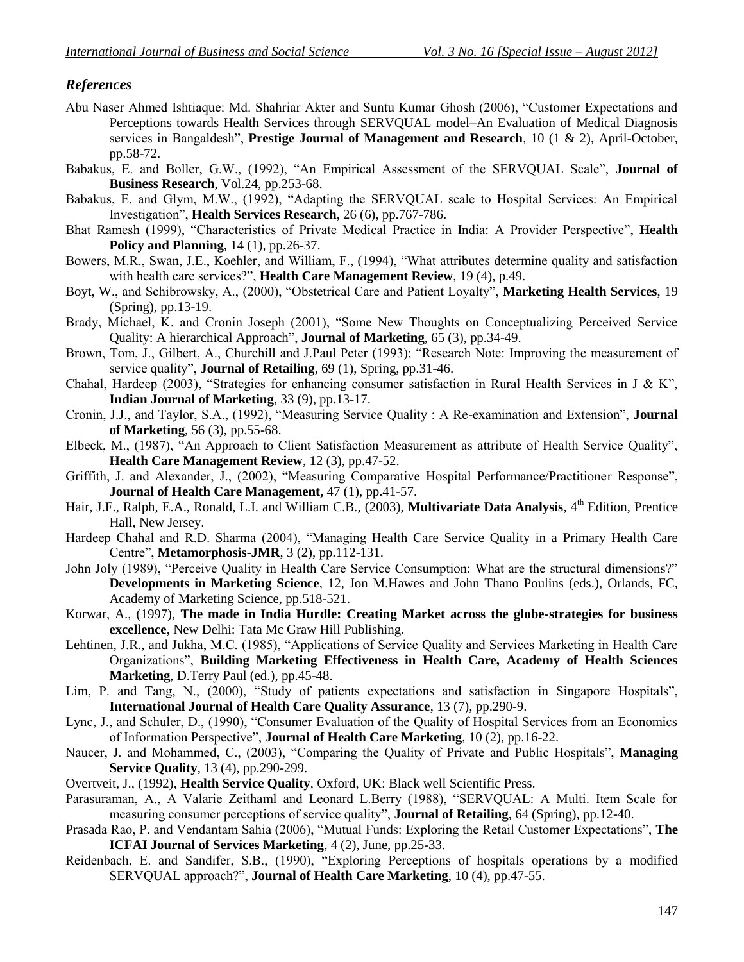## *References*

- Abu Naser Ahmed Ishtiaque: Md. Shahriar Akter and Suntu Kumar Ghosh (2006), "Customer Expectations and Perceptions towards Health Services through SERVQUAL model–An Evaluation of Medical Diagnosis services in Bangaldesh", **Prestige Journal of Management and Research**, 10 (1 & 2), April-October, pp.58-72.
- Babakus, E. and Boller, G.W., (1992), "An Empirical Assessment of the SERVQUAL Scale", **Journal of Business Research**, Vol.24, pp.253-68.
- Babakus, E. and Glym, M.W., (1992), "Adapting the SERVQUAL scale to Hospital Services: An Empirical Investigation", **Health Services Research**, 26 (6), pp.767-786.
- Bhat Ramesh (1999), "Characteristics of Private Medical Practice in India: A Provider Perspective", **Health Policy and Planning**, 14 (1), pp.26-37.
- Bowers, M.R., Swan, J.E., Koehler, and William, F., (1994), "What attributes determine quality and satisfaction with health care services?", **Health Care Management Review**, 19 (4), p.49.
- Boyt, W., and Schibrowsky, A., (2000), "Obstetrical Care and Patient Loyalty", **Marketing Health Services**, 19 (Spring), pp.13-19.
- Brady, Michael, K. and Cronin Joseph (2001), "Some New Thoughts on Conceptualizing Perceived Service Quality: A hierarchical Approach", **Journal of Marketing**, 65 (3), pp.34-49.
- Brown, Tom, J., Gilbert, A., Churchill and J.Paul Peter (1993); "Research Note: Improving the measurement of service quality", **Journal of Retailing**, 69 (1), Spring, pp.31-46.
- Chahal, Hardeep (2003), "Strategies for enhancing consumer satisfaction in Rural Health Services in J & K". **Indian Journal of Marketing**, 33 (9), pp.13-17.
- Cronin, J.J., and Taylor, S.A., (1992), "Measuring Service Quality : A Re-examination and Extension", **Journal of Marketing**, 56 (3), pp.55-68.
- Elbeck, M., (1987), "An Approach to Client Satisfaction Measurement as attribute of Health Service Quality", **Health Care Management Review**, 12 (3), pp.47-52.
- Griffith, J. and Alexander, J., (2002), "Measuring Comparative Hospital Performance/Practitioner Response", **Journal of Health Care Management,** 47 (1), pp.41-57.
- Hair, J.F., Ralph, E.A., Ronald, L.I. and William C.B., (2003), **Multivariate Data Analysis**, 4<sup>th</sup> Edition, Prentice Hall, New Jersey.
- Hardeep Chahal and R.D. Sharma (2004), "Managing Health Care Service Quality in a Primary Health Care Centre", **Metamorphosis-JMR**, 3 (2), pp.112-131.
- John Joly (1989), "Perceive Quality in Health Care Service Consumption: What are the structural dimensions?" **Developments in Marketing Science**, 12, Jon M.Hawes and John Thano Poulins (eds.), Orlands, FC, Academy of Marketing Science, pp.518-521.
- Korwar, A., (1997), **The made in India Hurdle: Creating Market across the globe-strategies for business excellence**, New Delhi: Tata Mc Graw Hill Publishing.
- Lehtinen, J.R., and Jukha, M.C. (1985), "Applications of Service Quality and Services Marketing in Health Care Organizations", **Building Marketing Effectiveness in Health Care, Academy of Health Sciences Marketing**, D.Terry Paul (ed.), pp.45-48.
- Lim, P. and Tang, N., (2000), "Study of patients expectations and satisfaction in Singapore Hospitals", **International Journal of Health Care Quality Assurance**, 13 (7), pp.290-9.
- Lync, J., and Schuler, D., (1990), "Consumer Evaluation of the Quality of Hospital Services from an Economics of Information Perspective", **Journal of Health Care Marketing**, 10 (2), pp.16-22.
- Naucer, J. and Mohammed, C., (2003), "Comparing the Quality of Private and Public Hospitals", **Managing Service Quality**, 13 (4), pp.290-299.
- Overtveit, J., (1992), **Health Service Quality**, Oxford, UK: Black well Scientific Press.
- Parasuraman, A., A Valarie Zeithaml and Leonard L.Berry (1988), "SERVQUAL: A Multi. Item Scale for measuring consumer perceptions of service quality", **Journal of Retailing**, 64 (Spring), pp.12-40.
- Prasada Rao, P. and Vendantam Sahia (2006), "Mutual Funds: Exploring the Retail Customer Expectations", **The ICFAI Journal of Services Marketing**, 4 (2), June, pp.25-33.
- Reidenbach, E. and Sandifer, S.B., (1990), "Exploring Perceptions of hospitals operations by a modified SERVQUAL approach?", **Journal of Health Care Marketing**, 10 (4), pp.47-55.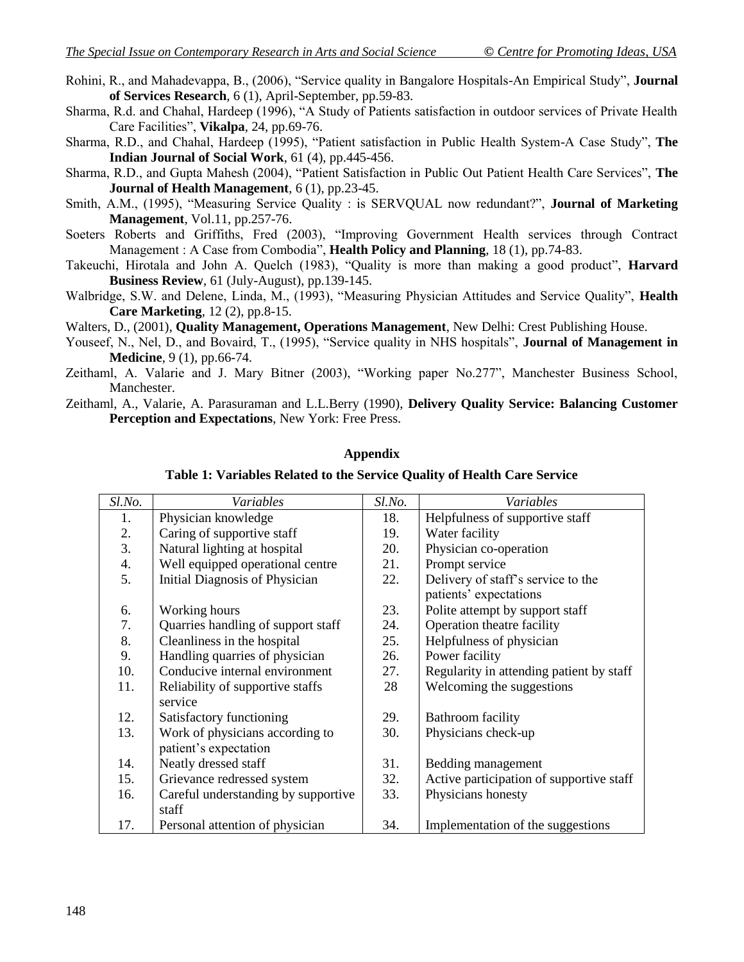- Rohini, R., and Mahadevappa, B., (2006), "Service quality in Bangalore Hospitals-An Empirical Study", **Journal of Services Research**, 6 (1), April-September, pp.59-83.
- Sharma, R.d. and Chahal, Hardeep (1996), "A Study of Patients satisfaction in outdoor services of Private Health Care Facilities", **Vikalpa**, 24, pp.69-76.
- Sharma, R.D., and Chahal, Hardeep (1995), "Patient satisfaction in Public Health System-A Case Study", **The Indian Journal of Social Work**, 61 (4), pp.445-456.
- Sharma, R.D., and Gupta Mahesh (2004), "Patient Satisfaction in Public Out Patient Health Care Services", **The Journal of Health Management**, 6 (1), pp.23-45.
- Smith, A.M., (1995), "Measuring Service Quality : is SERVQUAL now redundant?", **Journal of Marketing Management**, Vol.11, pp.257-76.
- Soeters Roberts and Griffiths, Fred (2003), "Improving Government Health services through Contract Management : A Case from Combodia", **Health Policy and Planning**, 18 (1), pp.74-83.
- Takeuchi, Hirotala and John A. Quelch (1983), "Quality is more than making a good product", **Harvard Business Review**, 61 (July-August), pp.139-145.
- Walbridge, S.W. and Delene, Linda, M., (1993), "Measuring Physician Attitudes and Service Quality", **Health Care Marketing**, 12 (2), pp.8-15.

Walters, D., (2001), **Quality Management, Operations Management**, New Delhi: Crest Publishing House.

- Youseef, N., Nel, D., and Bovaird, T., (1995), "Service quality in NHS hospitals", **Journal of Management in Medicine**, 9 (1), pp.66-74.
- Zeithaml, A. Valarie and J. Mary Bitner (2003), "Working paper No.277", Manchester Business School, Manchester.
- Zeithaml, A., Valarie, A. Parasuraman and L.L.Berry (1990), **Delivery Quality Service: Balancing Customer Perception and Expectations**, New York: Free Press.

#### **Appendix**

**Table 1: Variables Related to the Service Quality of Health Care Service**

| Sl.No. | Variables                           | Sl.No. | Variables                                |
|--------|-------------------------------------|--------|------------------------------------------|
| 1.     | Physician knowledge                 | 18.    | Helpfulness of supportive staff          |
| 2.     | Caring of supportive staff          | 19.    | Water facility                           |
| 3.     | Natural lighting at hospital        | 20.    | Physician co-operation                   |
| 4.     | Well equipped operational centre    | 21.    | Prompt service                           |
| 5.     | Initial Diagnosis of Physician      | 22.    | Delivery of staff's service to the       |
|        |                                     |        | patients' expectations                   |
| 6.     | Working hours                       | 23.    | Polite attempt by support staff          |
| 7.     | Quarries handling of support staff  | 24.    | Operation theatre facility               |
| 8.     | Cleanliness in the hospital         | 25.    | Helpfulness of physician                 |
| 9.     | Handling quarries of physician      | 26.    | Power facility                           |
| 10.    | Conducive internal environment      | 27.    | Regularity in attending patient by staff |
| 11.    | Reliability of supportive staffs    | 28     | Welcoming the suggestions                |
|        | service                             |        |                                          |
| 12.    | Satisfactory functioning            | 29.    | Bathroom facility                        |
| 13.    | Work of physicians according to     | 30.    | Physicians check-up                      |
|        | patient's expectation               |        |                                          |
| 14.    | Neatly dressed staff                | 31.    | Bedding management                       |
| 15.    | Grievance redressed system          | 32.    | Active participation of supportive staff |
| 16.    | Careful understanding by supportive | 33.    | Physicians honesty                       |
|        | staff                               |        |                                          |
| 17.    | Personal attention of physician     | 34.    | Implementation of the suggestions        |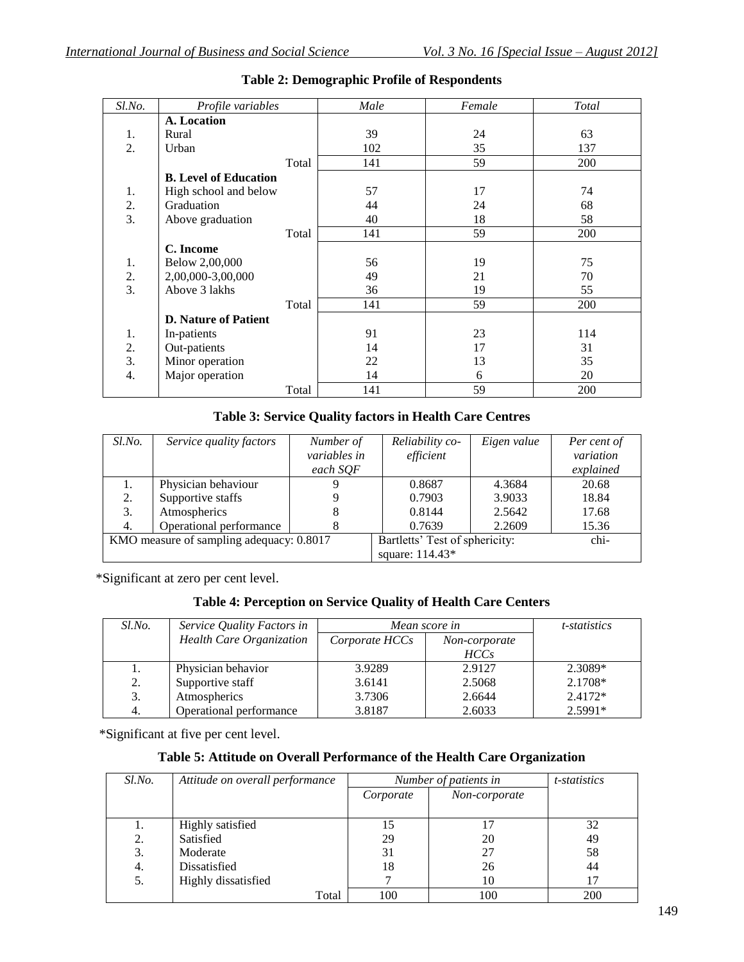| Sl.No.           | Profile variables            | Male | Female | <b>Total</b> |
|------------------|------------------------------|------|--------|--------------|
|                  | A. Location                  |      |        |              |
| 1.               | Rural                        | 39   | 24     | 63           |
| $\overline{2}$ . | Urban                        | 102  | 35     | 137          |
|                  | Total                        | 141  | 59     | 200          |
|                  | <b>B.</b> Level of Education |      |        |              |
| 1.               | High school and below        | 57   | 17     | 74           |
| 2.               | Graduation                   | 44   | 24     | 68           |
| 3.               | Above graduation             | 40   | 18     | 58           |
|                  | Total                        | 141  | 59     | 200          |
|                  | C. Income                    |      |        |              |
| 1.               | Below 2,00,000               | 56   | 19     | 75           |
| 2.               | 2,00,000-3,00,000            | 49   | 21     | 70           |
| 3.               | Above 3 lakhs                | 36   | 19     | 55           |
|                  | Total                        | 141  | 59     | 200          |
|                  | <b>D.</b> Nature of Patient  |      |        |              |
| 1.               | In-patients                  | 91   | 23     | 114          |
| 2.               | Out-patients                 | 14   | 17     | 31           |
| 3.               | Minor operation              | 22   | 13     | 35           |
| 4.               | Major operation              | 14   | 6      | 20           |
|                  | Total                        | 141  | 59     | 200          |

## **Table 2: Demographic Profile of Respondents**

## **Table 3: Service Quality factors in Health Care Centres**

| Sl.No.                                   | Service quality factors | Number of                      | Reliability co- | Eigen value | Per cent of |
|------------------------------------------|-------------------------|--------------------------------|-----------------|-------------|-------------|
|                                          |                         | variables in                   | efficient       |             | variation   |
|                                          |                         | each SQF                       |                 |             | explained   |
|                                          | Physician behaviour     |                                | 0.8687          | 4.3684      | 20.68       |
| 2.                                       | Supportive staffs       |                                | 0.7903          | 3.9033      | 18.84       |
| 3.                                       | Atmospherics            | 8                              | 0.8144          | 2.5642      | 17.68       |
| 4.                                       | Operational performance | 8                              | 0.7639          | 2.2609      | 15.36       |
| KMO measure of sampling adequacy: 0.8017 |                         | Bartletts' Test of sphericity: |                 | chi-        |             |
|                                          |                         |                                | square: 114.43* |             |             |

\*Significant at zero per cent level.

## **Table 4: Perception on Service Quality of Health Care Centers**

| Sl.No. | Service Quality Factors in      | Mean score in  |                  | <i>t</i> -statistics |
|--------|---------------------------------|----------------|------------------|----------------------|
|        | <b>Health Care Organization</b> | Corporate HCCs | Non-corporate    |                      |
|        |                                 |                | HCC <sub>s</sub> |                      |
| 1.     | Physician behavior              | 3.9289         | 2.9127           | 2.3089*              |
| 2.     | Supportive staff                | 3.6141         | 2.5068           | 2.1708*              |
| 3.     | Atmospherics                    | 3.7306         | 2.6644           | $2.4172*$            |
| 4.     | Operational performance         | 3.8187         | 2.6033           | $2.5991*$            |

\*Significant at five per cent level.

## **Table 5: Attitude on Overall Performance of the Health Care Organization**

| Sl.No. | Attitude on overall performance |           | Number of patients in | <i>t</i> -statistics |
|--------|---------------------------------|-----------|-----------------------|----------------------|
|        |                                 | Corporate | Non-corporate         |                      |
|        |                                 |           |                       |                      |
| 1.     | Highly satisfied                | 15        | 17                    | 32                   |
| 2.     | Satisfied                       | 29        | 20                    | 49                   |
| 3.     | Moderate                        | 31        | 27                    | 58                   |
| 4.     | Dissatisfied                    | 18        | 26                    | 44                   |
| 5.     | Highly dissatisfied             |           | 10                    |                      |
|        | Total                           | 100       | 100                   | 200                  |